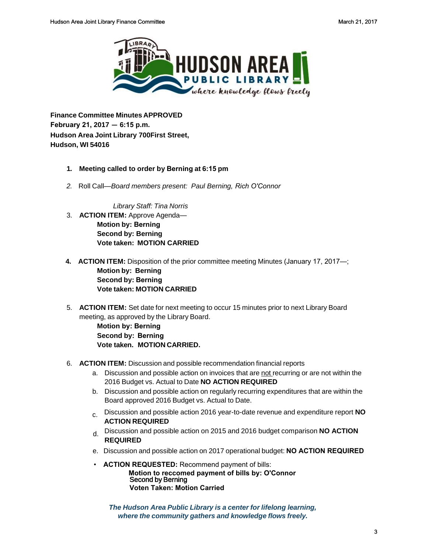

**Finance Committee Minutes APPROVED February 21, 2017 — 6:15 p.m. Hudson Area Joint Library 700First Street, Hudson, WI 54016** 

## **1. Meeting called to order by Berning at 6:15 pm**

*2.* Roll Call—*Board members present: Paul Berning, Rich O'Connor*

*Library Staff: Tina Norris* 

- 3. **ACTION ITEM:** Approve Agenda— **Motion by: Berning Second by: Berning Vote taken: MOTION CARRIED**
- **4. ACTION ITEM:** Disposition of the prior committee meeting Minutes (January 17, 2017—; **Motion by: Berning Second by: Berning Vote taken: MOTION CARRIED**
- 5. **ACTION ITEM:** Set date for next meeting to occur 15 minutes prior to next Library Board meeting, as approved by the Library Board.

**Motion by: Berning Second by: Berning Vote taken. MOTION CARRIED.**

- 6. **ACTION ITEM:** Discussion and possible recommendation financial reports
	- a. Discussion and possible action on invoices that are not recurring or are not within the 2016 Budget vs. Actual to Date **NO ACTION REQUIRED**
	- b. Discussion and possible action on regularly recurring expenditures that are within the Board approved 2016 Budget vs. Actual to Date.
	- c. Discussion and possible action 2016 year-to-date revenue and expenditure report **NO ACTION REQUIRED**
	- d. Discussion and possible action on 2015 and 2016 budget comparison **NO ACTION REQUIRED**
	- e. Discussion and possible action on 2017 operational budget: **NO ACTION REQUIRED**
	- **ACTION REQUESTED:** Recommend payment of bills: **Motion to reccomed payment of bills by: O'Connor** Second by Berning **Voten Taken: Motion Carried**

*The Hudson Area Public Library is a center for lifelong learning, where the community gathers and knowledge flows freely.*